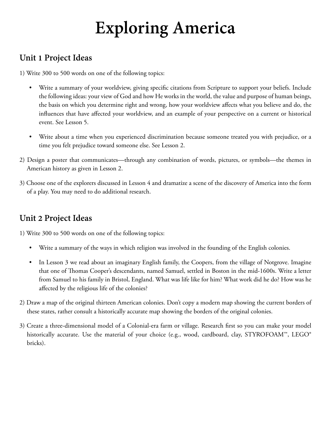# **Exploring America**

#### **Unit 1 Project Ideas**

1) Write 300 to 500 words on one of the following topics:

- Write a summary of your worldview, giving specific citations from Scripture to support your beliefs. Include the following ideas: your view of God and how He works in the world, the value and purpose of human beings, the basis on which you determine right and wrong, how your worldview affects what you believe and do, the influences that have affected your worldview, and an example of your perspective on a current or historical event. See Lesson 5.
- Write about a time when you experienced discrimination because someone treated you with prejudice, or a time you felt prejudice toward someone else. See Lesson 2.
- 2) Design a poster that communicates—through any combination of words, pictures, or symbols—the themes in American history as given in Lesson 2.
- 3) Choose one of the explorers discussed in Lesson 4 and dramatize a scene of the discovery of America into the form of a play. You may need to do additional research.

## **Unit 2 Project Ideas**

- Write a summary of the ways in which religion was involved in the founding of the English colonies.
- In Lesson 3 we read about an imaginary English family, the Coopers, from the village of Notgrove. Imagine that one of Thomas Cooper's descendants, named Samuel, settled in Boston in the mid-1600s. Write a letter from Samuel to his family in Bristol, England. What was life like for him? What work did he do? How was he affected by the religious life of the colonies?
- 2) Draw a map of the original thirteen American colonies. Don't copy a modern map showing the current borders of these states, rather consult a historically accurate map showing the borders of the original colonies.
- 3) Create a three-dimensional model of a Colonial-era farm or village. Research first so you can make your model historically accurate. Use the material of your choice (e.g., wood, cardboard, clay, STYROFOAM™, LEGO® bricks).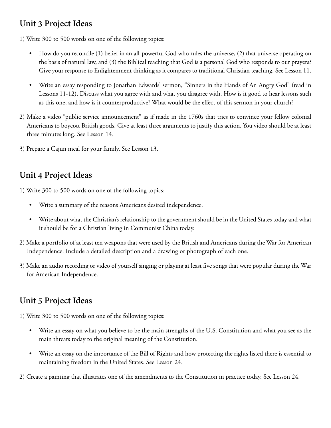#### **Unit 3 Project Ideas**

1) Write 300 to 500 words on one of the following topics:

- How do you reconcile (1) belief in an all-powerful God who rules the universe, (2) that universe operating on the basis of natural law, and (3) the Biblical teaching that God is a personal God who responds to our prayers? Give your response to Enlightenment thinking as it compares to traditional Christian teaching. See Lesson 11.
- Write an essay responding to Jonathan Edwards' sermon, "Sinners in the Hands of An Angry God" (read in Lessons 11-12). Discuss what you agree with and what you disagree with. How is it good to hear lessons such as this one, and how is it counterproductive? What would be the effect of this sermon in your church?
- 2) Make a video "public service announcement" as if made in the 1760s that tries to convince your fellow colonial Americans to boycott British goods. Give at least three arguments to justify this action. You video should be at least three minutes long. See Lesson 14.
- 3) Prepare a Cajun meal for your family. See Lesson 13.

## **Unit 4 Project Ideas**

1) Write 300 to 500 words on one of the following topics:

- Write a summary of the reasons Americans desired independence.
- Write about what the Christian's relationship to the government should be in the United States today and what it should be for a Christian living in Communist China today.
- 2) Make a portfolio of at least ten weapons that were used by the British and Americans during the War for American Independence. Include a detailed description and a drawing or photograph of each one.
- 3) Make an audio recording or video of yourself singing or playing at least five songs that were popular during the War for American Independence.

## **Unit 5 Project Ideas**

1) Write 300 to 500 words on one of the following topics:

- Write an essay on what you believe to be the main strengths of the U.S. Constitution and what you see as the main threats today to the original meaning of the Constitution.
- Write an essay on the importance of the Bill of Rights and how protecting the rights listed there is essential to maintaining freedom in the United States. See Lesson 24.

2) Create a painting that illustrates one of the amendments to the Constitution in practice today. See Lesson 24.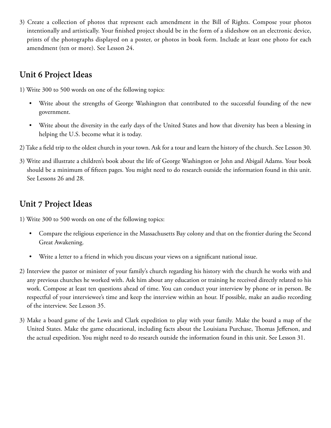3) Create a collection of photos that represent each amendment in the Bill of Rights. Compose your photos intentionally and artistically. Your finished project should be in the form of a slideshow on an electronic device, prints of the photographs displayed on a poster, or photos in book form. Include at least one photo for each amendment (ten or more). See Lesson 24.

## **Unit 6 Project Ideas**

1) Write 300 to 500 words on one of the following topics:

- Write about the strengths of George Washington that contributed to the successful founding of the new government.
- Write about the diversity in the early days of the United States and how that diversity has been a blessing in helping the U.S. become what it is today.
- 2) Take a field trip to the oldest church in your town. Ask for a tour and learn the history of the church. See Lesson 30.
- 3) Write and illustrate a children's book about the life of George Washington or John and Abigail Adams. Your book should be a minimum of fifteen pages. You might need to do research outside the information found in this unit. See Lessons 26 and 28.

#### **Unit 7 Project Ideas**

- Compare the religious experience in the Massachusetts Bay colony and that on the frontier during the Second Great Awakening.
- Write a letter to a friend in which you discuss your views on a significant national issue.
- 2) Interview the pastor or minister of your family's church regarding his history with the church he works with and any previous churches he worked with. Ask him about any education or training he received directly related to his work. Compose at least ten questions ahead of time. You can conduct your interview by phone or in person. Be respectful of your interviewee's time and keep the interview within an hour. If possible, make an audio recording of the interview. See Lesson 35.
- 3) Make a board game of the Lewis and Clark expedition to play with your family. Make the board a map of the United States. Make the game educational, including facts about the Louisiana Purchase, Thomas Jefferson, and the actual expedition. You might need to do research outside the information found in this unit. See Lesson 31.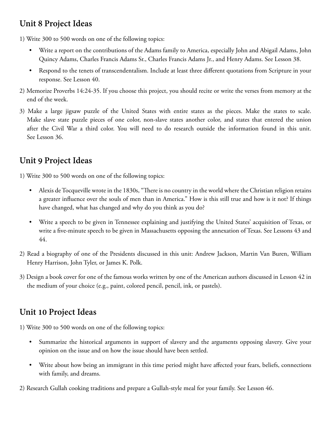#### **Unit 8 Project Ideas**

1) Write 300 to 500 words on one of the following topics:

- Write a report on the contributions of the Adams family to America, especially John and Abigail Adams, John Quincy Adams, Charles Francis Adams Sr., Charles Francis Adams Jr., and Henry Adams. See Lesson 38.
- Respond to the tenets of transcendentalism. Include at least three different quotations from Scripture in your response. See Lesson 40.
- 2) Memorize Proverbs 14:24-35. If you choose this project, you should recite or write the verses from memory at the end of the week.
- 3) Make a large jigsaw puzzle of the United States with entire states as the pieces. Make the states to scale. Make slave state puzzle pieces of one color, non-slave states another color, and states that entered the union after the Civil War a third color. You will need to do research outside the information found in this unit. See Lesson 36.

#### **Unit 9 Project Ideas**

1) Write 300 to 500 words on one of the following topics:

- Alexis de Tocqueville wrote in the 1830s, "There is no country in the world where the Christian religion retains a greater influence over the souls of men than in America." How is this still true and how is it not? If things have changed, what has changed and why do you think as you do?
- Write a speech to be given in Tennessee explaining and justifying the United States' acquisition of Texas, or write a five-minute speech to be given in Massachusetts opposing the annexation of Texas. See Lessons 43 and 44.
- 2) Read a biography of one of the Presidents discussed in this unit: Andrew Jackson, Martin Van Buren, William Henry Harrison, John Tyler, or James K. Polk.
- 3) Design a book cover for one of the famous works written by one of the American authors discussed in Lesson 42 in the medium of your choice (e.g., paint, colored pencil, pencil, ink, or pastels).

## **Unit 10 Project Ideas**

- Summarize the historical arguments in support of slavery and the arguments opposing slavery. Give your opinion on the issue and on how the issue should have been settled.
- Write about how being an immigrant in this time period might have affected your fears, beliefs, connections with family, and dreams.
- 2) Research Gullah cooking traditions and prepare a Gullah-style meal for your family. See Lesson 46.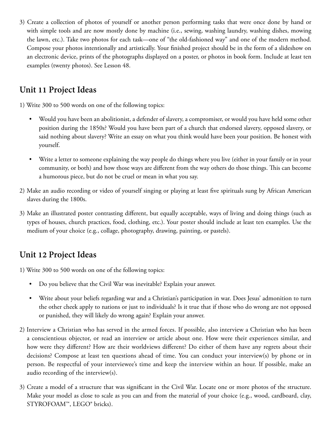3) Create a collection of photos of yourself or another person performing tasks that were once done by hand or with simple tools and are now mostly done by machine (i.e., sewing, washing laundry, washing dishes, mowing the lawn, etc.). Take two photos for each task—one of "the old-fashioned way" and one of the modern method. Compose your photos intentionally and artistically. Your finished project should be in the form of a slideshow on an electronic device, prints of the photographs displayed on a poster, or photos in book form. Include at least ten examples (twenty photos). See Lesson 48.

#### **Unit 11 Project Ideas**

1) Write 300 to 500 words on one of the following topics:

- Would you have been an abolitionist, a defender of slavery, a compromiser, or would you have held some other position during the 1850s? Would you have been part of a church that endorsed slavery, opposed slavery, or said nothing about slavery? Write an essay on what you think would have been your position. Be honest with yourself.
- Write a letter to someone explaining the way people do things where you live (either in your family or in your community, or both) and how those ways are different from the way others do those things. This can become a humorous piece, but do not be cruel or mean in what you say.
- 2) Make an audio recording or video of yourself singing or playing at least five spirituals sung by African American slaves during the 1800s.
- 3) Make an illustrated poster contrasting different, but equally acceptable, ways of living and doing things (such as types of houses, church practices, food, clothing, etc.). Your poster should include at least ten examples. Use the medium of your choice (e.g., collage, photography, drawing, painting, or pastels).

## **Unit 12 Project Ideas**

- Do you believe that the Civil War was inevitable? Explain your answer.
- Write about your beliefs regarding war and a Christian's participation in war. Does Jesus' admonition to turn the other cheek apply to nations or just to individuals? Is it true that if those who do wrong are not opposed or punished, they will likely do wrong again? Explain your answer.
- 2) Interview a Christian who has served in the armed forces. If possible, also interview a Christian who has been a conscientious objector, or read an interview or article about one. How were their experiences similar, and how were they different? How are their worldviews different? Do either of them have any regrets about their decisions? Compose at least ten questions ahead of time. You can conduct your interview(s) by phone or in person. Be respectful of your interviewee's time and keep the interview within an hour. If possible, make an audio recording of the interview(s).
- 3) Create a model of a structure that was significant in the Civil War. Locate one or more photos of the structure. Make your model as close to scale as you can and from the material of your choice (e.g., wood, cardboard, clay, STYROFOAM™, LEGO® bricks).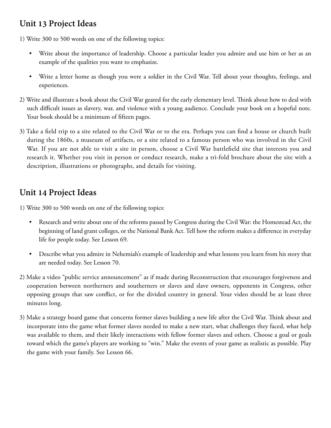#### **Unit 13 Project Ideas**

1) Write 300 to 500 words on one of the following topics:

- Write about the importance of leadership. Choose a particular leader you admire and use him or her as an example of the qualities you want to emphasize.
- Write a letter home as though you were a soldier in the Civil War. Tell about your thoughts, feelings, and experiences.
- 2) Write and illustrate a book about the Civil War geared for the early elementary level. Think about how to deal with such difficult issues as slavery, war, and violence with a young audience. Conclude your book on a hopeful note. Your book should be a minimum of fifteen pages.
- 3) Take a field trip to a site related to the Civil War or to the era. Perhaps you can find a house or church built during the 1860s, a museum of artifacts, or a site related to a famous person who was involved in the Civil War. If you are not able to visit a site in person, choose a Civil War battlefield site that interests you and research it. Whether you visit in person or conduct research, make a tri-fold brochure about the site with a description, illustrations or photographs, and details for visiting.

## **Unit 14 Project Ideas**

- Research and write about one of the reforms passed by Congress during the Civil War: the Homestead Act, the beginning of land grant colleges, or the National Bank Act. Tell how the reform makes a difference in everyday life for people today. See Lesson 69.
- Describe what you admire in Nehemiah's example of leadership and what lessons you learn from his story that are needed today. See Lesson 70.
- 2) Make a video "public service announcement" as if made during Reconstruction that encourages forgiveness and cooperation between northerners and southerners or slaves and slave owners, opponents in Congress, other opposing groups that saw conflict, or for the divided country in general. Your video should be at least three minutes long.
- 3) Make a strategy board game that concerns former slaves building a new life after the Civil War. Think about and incorporate into the game what former slaves needed to make a new start, what challenges they faced, what help was available to them, and their likely interactions with fellow former slaves and others. Choose a goal or goals toward which the game's players are working to "win." Make the events of your game as realistic as possible. Play the game with your family. See Lesson 66.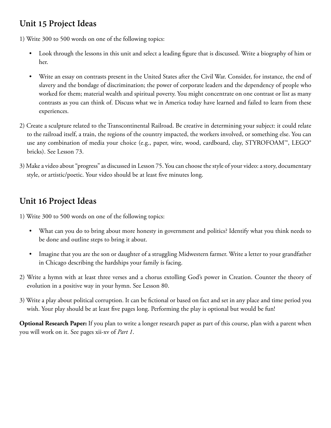#### **Unit 15 Project Ideas**

1) Write 300 to 500 words on one of the following topics:

- Look through the lessons in this unit and select a leading figure that is discussed. Write a biography of him or her.
- Write an essay on contrasts present in the United States after the Civil War. Consider, for instance, the end of slavery and the bondage of discrimination; the power of corporate leaders and the dependency of people who worked for them; material wealth and spiritual poverty. You might concentrate on one contrast or list as many contrasts as you can think of. Discuss what we in America today have learned and failed to learn from these experiences.
- 2) Create a sculpture related to the Transcontinental Railroad. Be creative in determining your subject: it could relate to the railroad itself, a train, the regions of the country impacted, the workers involved, or something else. You can use any combination of media your choice (e.g., paper, wire, wood, cardboard, clay, STYROFOAM™, LEGO® bricks). See Lesson 73.
- 3) Make a video about "progress" as discussed in Lesson 75. You can choose the style of your video: a story, documentary style, or artistic/poetic. Your video should be at least five minutes long.

## **Unit 16 Project Ideas**

1) Write 300 to 500 words on one of the following topics:

- What can you do to bring about more honesty in government and politics? Identify what you think needs to be done and outline steps to bring it about.
- Imagine that you are the son or daughter of a struggling Midwestern farmer. Write a letter to your grandfather in Chicago describing the hardships your family is facing.
- 2) Write a hymn with at least three verses and a chorus extolling God's power in Creation. Counter the theory of evolution in a positive way in your hymn. See Lesson 80.
- 3) Write a play about political corruption. It can be fictional or based on fact and set in any place and time period you wish. Your play should be at least five pages long. Performing the play is optional but would be fun!

**Optional Research Paper:** If you plan to write a longer research paper as part of this course, plan with a parent when you will work on it. See pages xii-xv of *Part 1*.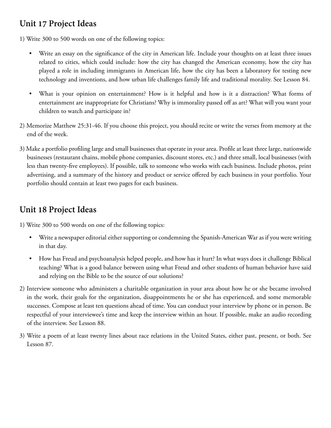#### **Unit 17 Project Ideas**

1) Write 300 to 500 words on one of the following topics:

- Write an essay on the significance of the city in American life. Include your thoughts on at least three issues related to cities, which could include: how the city has changed the American economy, how the city has played a role in including immigrants in American life, how the city has been a laboratory for testing new technology and inventions, and how urban life challenges family life and traditional morality. See Lesson 84.
- What is your opinion on entertainment? How is it helpful and how is it a distraction? What forms of entertainment are inappropriate for Christians? Why is immorality passed off as art? What will you want your children to watch and participate in?
- 2) Memorize Matthew 25:31-46. If you choose this project, you should recite or write the verses from memory at the end of the week.
- 3) Make a portfolio profiling large and small businesses that operate in your area. Profile at least three large, nationwide businesses (restaurant chains, mobile phone companies, discount stores, etc.) and three small, local businesses (with less than twenty-five employees). If possible, talk to someone who works with each business. Include photos, print advertising, and a summary of the history and product or service offered by each business in your portfolio. Your portfolio should contain at least two pages for each business.

#### **Unit 18 Project Ideas**

- Write a newspaper editorial either supporting or condemning the Spanish-American War as if you were writing in that day.
- How has Freud and psychoanalysis helped people, and how has it hurt? In what ways does it challenge Biblical teaching? What is a good balance between using what Freud and other students of human behavior have said and relying on the Bible to be the source of our solutions?
- 2) Interview someone who administers a charitable organization in your area about how he or she became involved in the work, their goals for the organization, disappointments he or she has experienced, and some memorable successes. Compose at least ten questions ahead of time. You can conduct your interview by phone or in person. Be respectful of your interviewee's time and keep the interview within an hour. If possible, make an audio recording of the interview. See Lesson 88.
- 3) Write a poem of at least twenty lines about race relations in the United States, either past, present, or both. See Lesson 87.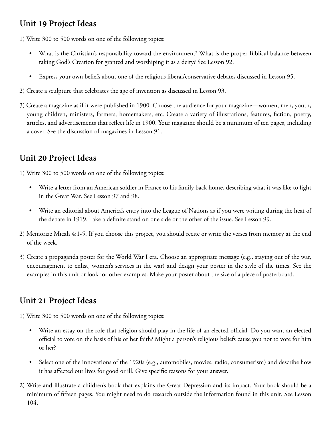## **Unit 19 Project Ideas**

1) Write 300 to 500 words on one of the following topics:

- What is the Christian's responsibility toward the environment? What is the proper Biblical balance between taking God's Creation for granted and worshiping it as a deity? See Lesson 92.
- Express your own beliefs about one of the religious liberal/conservative debates discussed in Lesson 95.
- 2) Create a sculpture that celebrates the age of invention as discussed in Lesson 93.
- 3) Create a magazine as if it were published in 1900. Choose the audience for your magazine—women, men, youth, young children, ministers, farmers, homemakers, etc. Create a variety of illustrations, features, fiction, poetry, articles, and advertisements that reflect life in 1900. Your magazine should be a minimum of ten pages, including a cover. See the discussion of magazines in Lesson 91.

## **Unit 20 Project Ideas**

1) Write 300 to 500 words on one of the following topics:

- Write a letter from an American soldier in France to his family back home, describing what it was like to fight in the Great War. See Lesson 97 and 98.
- Write an editorial about America's entry into the League of Nations as if you were writing during the heat of the debate in 1919. Take a definite stand on one side or the other of the issue. See Lesson 99.
- 2) Memorize Micah 4:1-5. If you choose this project, you should recite or write the verses from memory at the end of the week.
- 3) Create a propaganda poster for the World War I era. Choose an appropriate message (e.g., staying out of the war, encouragement to enlist, women's services in the war) and design your poster in the style of the times. See the examples in this unit or look for other examples. Make your poster about the size of a piece of posterboard.

## **Unit 21 Project Ideas**

- Write an essay on the role that religion should play in the life of an elected official. Do you want an elected official to vote on the basis of his or her faith? Might a person's religious beliefs cause you not to vote for him or her?
- Select one of the innovations of the 1920s (e.g., automobiles, movies, radio, consumerism) and describe how it has affected our lives for good or ill. Give specific reasons for your answer.
- 2) Write and illustrate a children's book that explains the Great Depression and its impact. Your book should be a minimum of fifteen pages. You might need to do research outside the information found in this unit. See Lesson 104.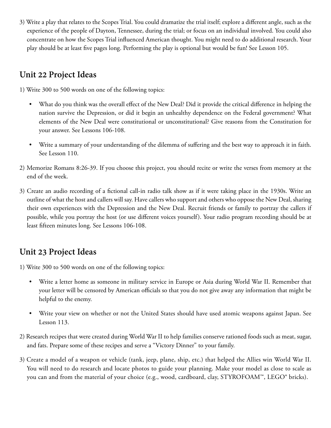3) Write a play that relates to the Scopes Trial. You could dramatize the trial itself; explore a different angle, such as the experience of the people of Dayton, Tennessee, during the trial; or focus on an individual involved. You could also concentrate on how the Scopes Trial influenced American thought. You might need to do additional research. Your play should be at least five pages long. Performing the play is optional but would be fun! See Lesson 105.

#### **Unit 22 Project Ideas**

1) Write 300 to 500 words on one of the following topics:

- What do you think was the overall effect of the New Deal? Did it provide the critical difference in helping the nation survive the Depression, or did it begin an unhealthy dependence on the Federal government? What elements of the New Deal were constitutional or unconstitutional? Give reasons from the Constitution for your answer. See Lessons 106-108.
- Write a summary of your understanding of the dilemma of suffering and the best way to approach it in faith. See Lesson 110.
- 2) Memorize Romans 8:26-39. If you choose this project, you should recite or write the verses from memory at the end of the week.
- 3) Create an audio recording of a fictional call-in radio talk show as if it were taking place in the 1930s. Write an outline of what the host and callers will say. Have callers who support and others who oppose the New Deal, sharing their own experiences with the Depression and the New Deal. Recruit friends or family to portray the callers if possible, while you portray the host (or use different voices yourself). Your radio program recording should be at least fifteen minutes long. See Lessons 106-108.

#### **Unit 23 Project Ideas**

- Write a letter home as someone in military service in Europe or Asia during World War II. Remember that your letter will be censored by American officials so that you do not give away any information that might be helpful to the enemy.
- Write your view on whether or not the United States should have used atomic weapons against Japan. See Lesson 113.
- 2) Research recipes that were created during World War II to help families conserve rationed foods such as meat, sugar, and fats. Prepare some of these recipes and serve a "Victory Dinner" to your family.
- 3) Create a model of a weapon or vehicle (tank, jeep, plane, ship, etc.) that helped the Allies win World War II. You will need to do research and locate photos to guide your planning. Make your model as close to scale as you can and from the material of your choice (e.g., wood, cardboard, clay, STYROFOAM™, LEGO® bricks).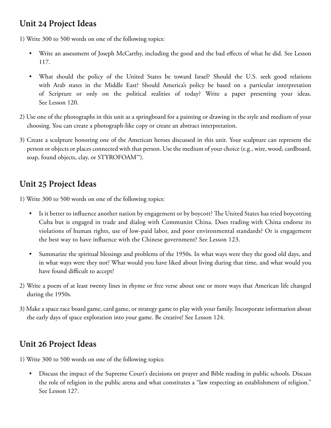#### **Unit 24 Project Ideas**

1) Write 300 to 500 words on one of the following topics:

- Write an assessment of Joseph McCarthy, including the good and the bad effects of what he did. See Lesson 117.
- What should the policy of the United States be toward Israel? Should the U.S. seek good relations with Arab states in the Middle East? Should America's policy be based on a particular interpretation of Scripture or only on the political realities of today? Write a paper presenting your ideas. See Lesson 120.
- 2) Use one of the photographs in this unit as a springboard for a painting or drawing in the style and medium of your choosing. You can create a photograph-like copy or create an abstract interpretation.
- 3) Create a sculpture honoring one of the American heroes discussed in this unit. Your sculpture can represent the person or objects or places connected with that person. Use the medium of your choice (e.g., wire, wood, cardboard, soap, found objects, clay, or STYROFOAM™).

## **Unit 25 Project Ideas**

1) Write 300 to 500 words on one of the following topics:

- Is it better to influence another nation by engagement or by boycott? The United States has tried boycotting Cuba but is engaged in trade and dialog with Communist China. Does trading with China endorse its violations of human rights, use of low-paid labor, and poor environmental standards? Or is engagement the best way to have influence with the Chinese government? See Lesson 123.
- Summarize the spiritual blessings and problems of the 1950s. In what ways were they the good old days, and in what ways were they not? What would you have liked about living during that time, and what would you have found difficult to accept?
- 2) Write a poem of at least twenty lines in rhyme or free verse about one or more ways that American life changed during the 1950s.
- 3) Make a space race board game, card game, or strategy game to play with your family. Incorporate information about the early days of space exploration into your game. Be creative! See Lesson 124.

## **Unit 26 Project Ideas**

1) Write 300 to 500 words on one of the following topics:

• Discuss the impact of the Supreme Court's decisions on prayer and Bible reading in public schools. Discuss the role of religion in the public arena and what constitutes a "law respecting an establishment of religion." See Lesson 127.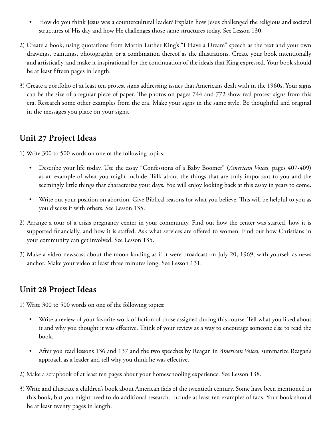- How do you think Jesus was a countercultural leader? Explain how Jesus challenged the religious and societal structures of His day and how He challenges those same structures today. See Lesson 130.
- 2) Create a book, using quotations from Martin Luther King's "I Have a Dream" speech as the text and your own drawings, paintings, photographs, or a combination thereof as the illustrations. Create your book intentionally and artistically, and make it inspirational for the continuation of the ideals that King expressed. Your book should be at least fifteen pages in length.
- 3) Create a portfolio of at least ten protest signs addressing issues that Americans dealt with in the 1960s. Your signs can be the size of a regular piece of paper. The photos on pages 744 and 772 show real protest signs from this era. Research some other examples from the era. Make your signs in the same style. Be thoughtful and original in the messages you place on your signs.

#### **Unit 27 Project Ideas**

1) Write 300 to 500 words on one of the following topics:

- Describe your life today. Use the essay "Confessions of a Baby Boomer" (*American Voices,* pages 407-409) as an example of what you might include. Talk about the things that are truly important to you and the seemingly little things that characterize your days. You will enjoy looking back at this essay in years to come.
- Write out your position on abortion. Give Biblical reasons for what you believe. This will be helpful to you as you discuss it with others. See Lesson 135.
- 2) Arrange a tour of a crisis pregnancy center in your community. Find out how the center was started, how it is supported financially, and how it is staffed. Ask what services are offered to women. Find out how Christians in your community can get involved. See Lesson 135.
- 3) Make a video newscast about the moon landing as if it were broadcast on July 20, 1969, with yourself as news anchor. Make your video at least three minutes long. See Lesson 131.

#### **Unit 28 Project Ideas**

- Write a review of your favorite work of fiction of those assigned during this course. Tell what you liked about it and why you thought it was effective. Think of your review as a way to encourage someone else to read the book.
- After you read lessons 136 and 137 and the two speeches by Reagan in *American Voices*, summarize Reagan's approach as a leader and tell why you think he was effective.
- 2) Make a scrapbook of at least ten pages about your homeschooling experience. See Lesson 138.
- 3) Write and illustrate a children's book about American fads of the twentieth century. Some have been mentioned in this book, but you might need to do additional research. Include at least ten examples of fads. Your book should be at least twenty pages in length.